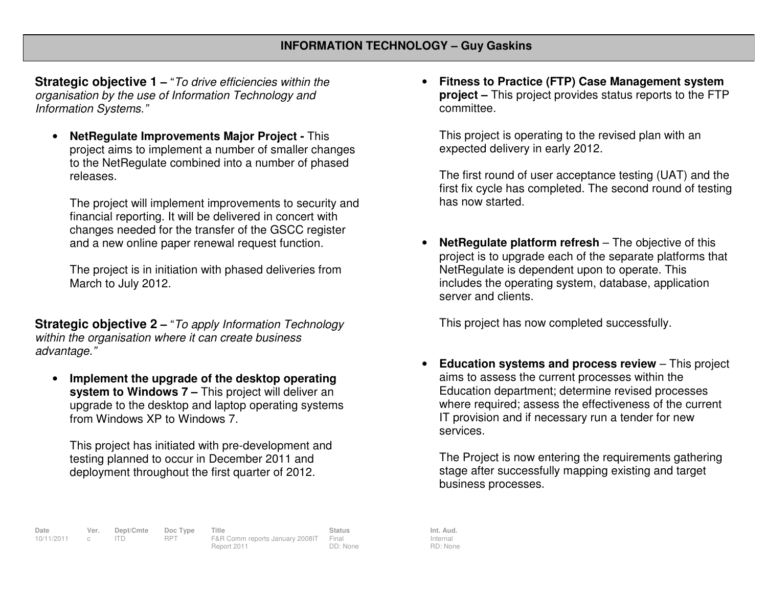**Strategic objective 1 –** "To drive efficiencies within the organisation by the use of Information Technology and Information Systems."

• **NetRegulate Improvements Major Project -** This project aims to implement a number of smaller changes to the NetRegulate combined into a number of phasedreleases.

The project will implement improvements to security and financial reporting. It will be delivered in concert with changes needed for the transfer of the GSCC register and a new online paper renewal request function.

The project is in initiation with phased deliveries from March to July 2012.

**Strategic objective 2 –** "To apply Information Technology within the organisation where it can create business advantage."

• **Implement the upgrade of the desktop operating system to Windows 7 –** This project will deliver an upgrade to the desktop and laptop operating systemsfrom Windows XP to Windows 7.

This project has initiated with pre-development andtesting planned to occur in December 2011 and deployment throughout the first quarter of 2012.

• **Fitness to Practice (FTP) Case Management system project –** This project provides status reports to the FTP committee.

This project is operating to the revised plan with an expected delivery in early 2012.

The first round of user acceptance testing (UAT) and the first fix cycle has completed. The second round of testing has now started.

• **NetRegulate platform refresh** – The objective of this project is to upgrade each of the separate platforms that NetRegulate is dependent upon to operate. This includes the operating system, database, application server and clients.

This project has now completed successfully.

• **Education systems and process review** – This project aims to assess the current processes within the Education department; determine revised processes where required; assess the effectiveness of the current IT provision and if necessary run a tender for new services.

The Project is now entering the requirements gathering stage after successfully mapping existing and target business processes.

Internal RD: None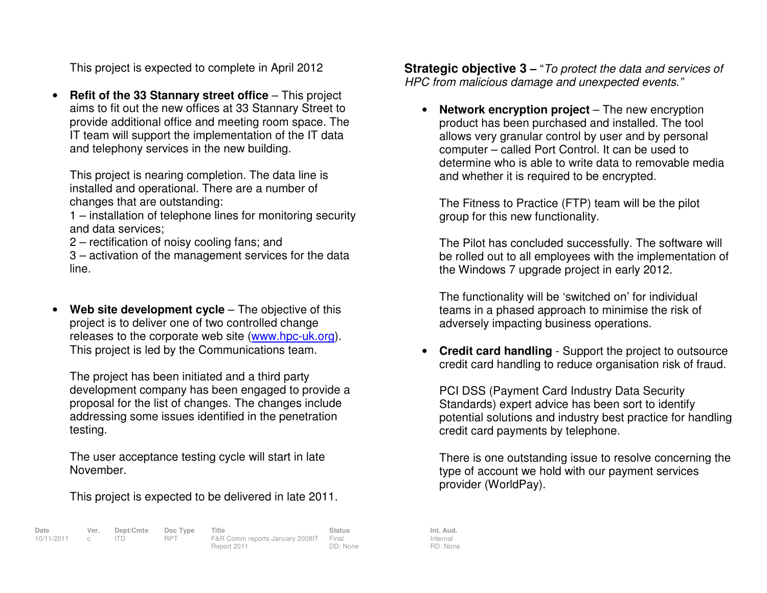This project is expected to complete in April 2012

•**Refit of the 33 Stannary street office** – This project aims to fit out the new offices at 33 Stannary Street to provide additional office and meeting room space. The IT team will support the implementation of the IT data and telephony services in the new building.

This project is nearing completion. The data line is installed and operational. There are a number of changes that are outstanding:

 1 – installation of telephone lines for monitoring security and data services;

2 – rectification of noisy cooling fans; and

 3 – activation of the management services for the data line.

•**Web site development cycle** – The objective of this project is to deliver one of two controlled change releases to the corporate web site (www.hpc-uk.org). This project is led by the Communications team.

The project has been initiated and a third party development company has been engaged to provide a proposal for the list of changes. The changes include addressing some issues identified in the penetration testing.

The user acceptance testing cycle will start in late November.

This project is expected to be delivered in late 2011.

| Date         | Ver. | Dept/Cmte Doc Type |            | Title                                 | Status   | Int. Aud. |
|--------------|------|--------------------|------------|---------------------------------------|----------|-----------|
| 10/11/2011 c |      |                    | <b>RPT</b> | F&R Comm reports January 2008IT Final |          | Internal  |
|              |      |                    |            | Report 2011                           | DD: None | RD: Non   |

**Strategic objective 3 –** "To protect the data and services of HPC from malicious damage and unexpected events."

• **Network encryption project** – The new encryption product has been purchased and installed. The tool allows very granular control by user and by personal computer – called Port Control. It can be used to determine who is able to write data to removable media and whether it is required to be encrypted.

The Fitness to Practice (FTP) team will be the pilot group for this new functionality.

The Pilot has concluded successfully. The software will be rolled out to all employees with the implementation of the Windows 7 upgrade project in early 2012.

The functionality will be 'switched on' for individual teams in a phased approach to minimise the risk of adversely impacting business operations.

• **Credit card handling** - Support the project to outsource credit card handling to reduce organisation risk of fraud.

PCI DSS (Payment Card Industry Data Security Standards) expert advice has been sort to identify potential solutions and industry best practice for handling credit card payments by telephone.

There is one outstanding issue to resolve concerning the type of account we hold with our payment services provider (WorldPay).

Internal RD: None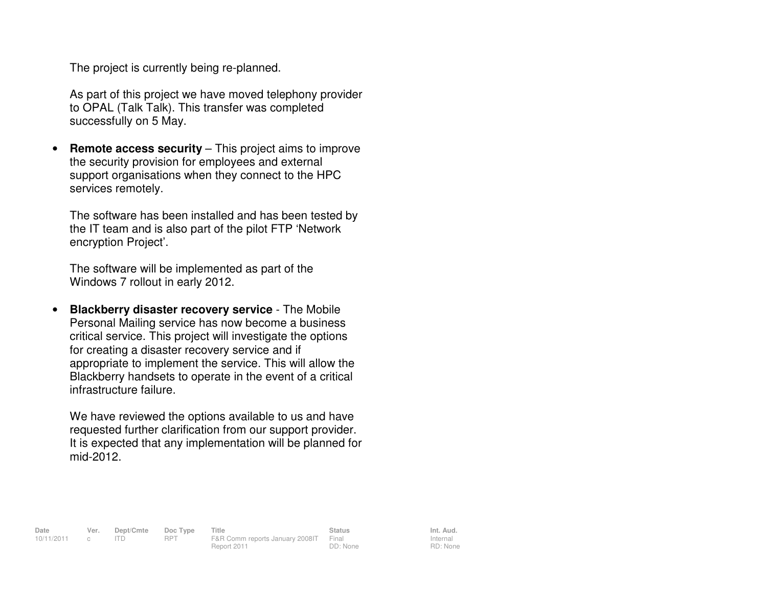The project is currently being re-planned.

As part of this project we have moved telephony provider to OPAL (Talk Talk). This transfer was completed successfully on 5 May.

• **Remote access security** – This project aims to improve the security provision for employees and external support organisations when they connect to the HPC services remotely.

The software has been installed and has been tested by the IT team and is also part of the pilot FTP 'Network encryption Project'.

The software will be implemented as part of the Windows 7 rollout in early 2012.

• **Blackberry disaster recovery service** - The Mobile Personal Mailing service has now become a business critical service. This project will investigate the options for creating a disaster recovery service and if appropriate to implement the service. This will allow the Blackberry handsets to operate in the event of a critical infrastructure failure.

We have reviewed the options available to us and have requested further clarification from our support provider. It is expected that any implementation will be planned for mid-2012.

**Date Ver. Dept/Cmte Doc Type Title Status Status Int. Aud.**<br>10/11/2011 c ITD RPT F&R Comm reports January 2008 | Final Internal Internal 10/11/2011 c ITD RPT F&R Comm reports January 2008IT Final Report 2011 DD: None

Internal RD: None